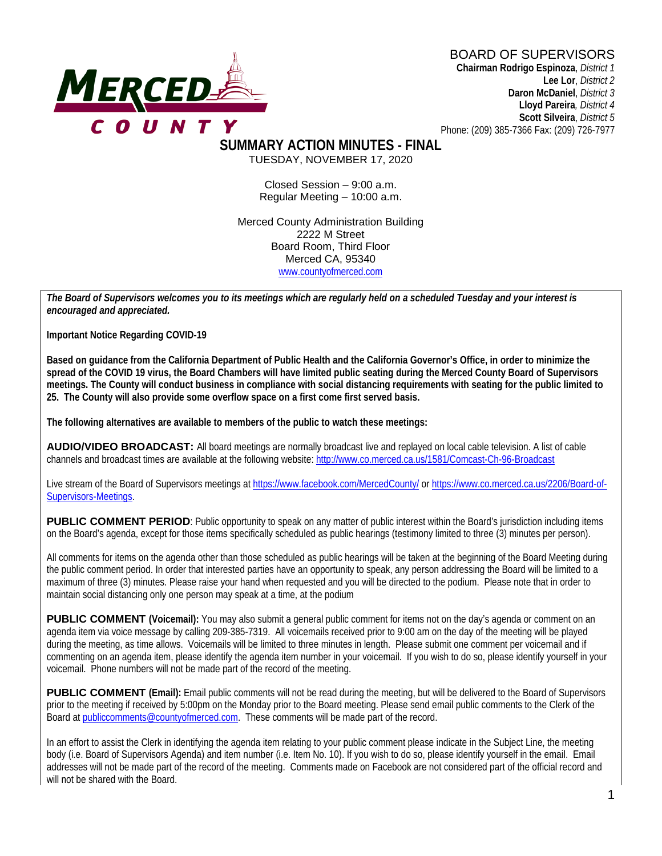#### BOARD OF SUPERVISORS



**Chairman Rodrigo Espinoza**, *District 1* **Lee Lor**, *District 2*  **Daron McDaniel**, *District 3* **Lloyd Pareira***, District 4*  **Scott Silveira**, *District 5* Phone: (209) 385-7366 Fax: (209) 726-7977

**SUMMARY ACTION MINUTES - FINAL** TUESDAY, NOVEMBER 17, 2020

> Closed Session – 9:00 a.m. Regular Meeting – 10:00 a.m.

Merced County Administration Building 2222 M Street Board Room, Third Floor Merced CA, 95340 www.countyofmerced.com

*The Board of Supervisors welcomes you to its meetings which are regularly held on a scheduled Tuesday and your interest is encouraged and appreciated.*

**Important Notice Regarding COVID-19**

**Based on guidance from the California Department of Public Health and the California Governor's Office, in order to minimize the spread of the COVID 19 virus, the Board Chambers will have limited public seating during the Merced County Board of Supervisors meetings. The County will conduct business in compliance with social distancing requirements with seating for the public limited to 25. The County will also provide some overflow space on a first come first served basis.**

**The following alternatives are available to members of the public to watch these meetings:**

**AUDIO/VIDEO BROADCAST:** All board meetings are normally broadcast live and replayed on local cable television. A list of cable channels and broadcast times are available at the following website[: http://www.co.merced.ca.us/1581/Comcast-Ch-96-Broadcast](http://www.co.merced.ca.us/1581/Comcast-Ch-96-Broadcast)

Live stream of the Board of Supervisors meetings at<https://www.facebook.com/MercedCounty/> o[r https://www.co.merced.ca.us/2206/Board-of-](https://www.co.merced.ca.us/2206/Board-of-Supervisors-Meetings)[Supervisors-Meetings.](https://www.co.merced.ca.us/2206/Board-of-Supervisors-Meetings)

**PUBLIC COMMENT PERIOD**: Public opportunity to speak on any matter of public interest within the Board's jurisdiction including items on the Board's agenda, except for those items specifically scheduled as public hearings (testimony limited to three (3) minutes per person).

All comments for items on the agenda other than those scheduled as public hearings will be taken at the beginning of the Board Meeting during the public comment period. In order that interested parties have an opportunity to speak, any person addressing the Board will be limited to a maximum of three (3) minutes. Please raise your hand when requested and you will be directed to the podium. Please note that in order to maintain social distancing only one person may speak at a time, at the podium

**PUBLIC COMMENT** (Voicemail): You may also submit a general public comment for items not on the day's agenda or comment on an agenda item via voice message by calling 209-385-7319. All voicemails received prior to 9:00 am on the day of the meeting will be played during the meeting, as time allows. Voicemails will be limited to three minutes in length. Please submit one comment per voicemail and if commenting on an agenda item, please identify the agenda item number in your voicemail. If you wish to do so, please identify yourself in your voicemail. Phone numbers will not be made part of the record of the meeting.

**PUBLIC COMMENT (Email):** Email public comments will not be read during the meeting, but will be delivered to the Board of Supervisors prior to the meeting if received by 5:00pm on the Monday prior to the Board meeting. Please send email public comments to the Clerk of the Board a[t publiccomments@countyofmerced.com.](mailto:publiccomments@countyofmerced.com) These comments will be made part of the record.

In an effort to assist the Clerk in identifying the agenda item relating to your public comment please indicate in the Subject Line, the meeting body (i.e. Board of Supervisors Agenda) and item number (i.e. Item No. 10). If you wish to do so, please identify yourself in the email. Email addresses will not be made part of the record of the meeting. Comments made on Facebook are not considered part of the official record and will not be shared with the Board.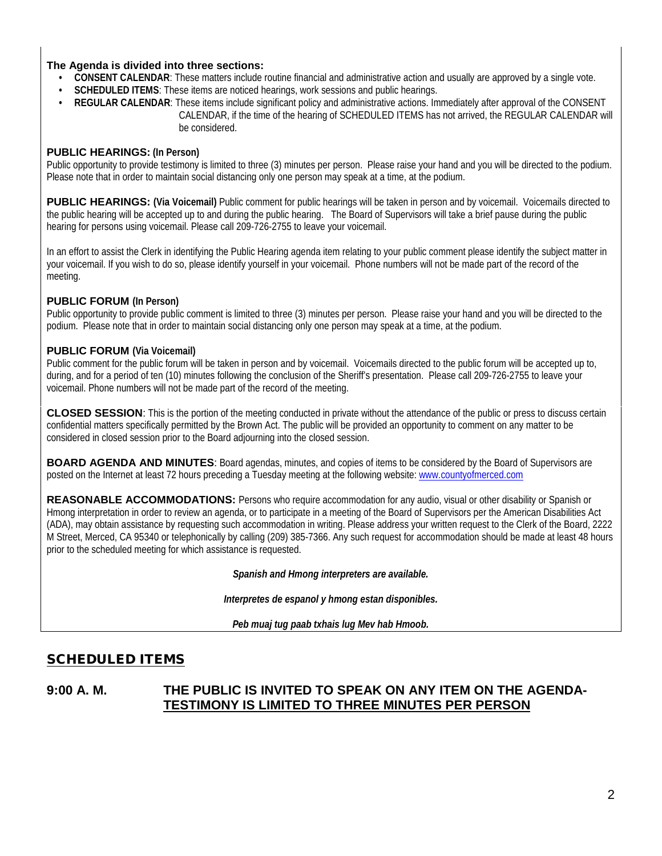#### **The Agenda is divided into three sections:**

- **CONSENT CALENDAR**: These matters include routine financial and administrative action and usually are approved by a single vote.
- **SCHEDULED ITEMS:** These items are noticed hearings, work sessions and public hearings.
- **REGULAR CALENDAR**: These items include significant policy and administrative actions. Immediately after approval of the CONSENT CALENDAR, if the time of the hearing of SCHEDULED ITEMS has not arrived, the REGULAR CALENDAR will be considered.

#### **PUBLIC HEARINGS: (In Person)**

Public opportunity to provide testimony is limited to three (3) minutes per person. Please raise your hand and you will be directed to the podium. Please note that in order to maintain social distancing only one person may speak at a time, at the podium.

**PUBLIC HEARINGS:** (Via Voicemail) Public comment for public hearings will be taken in person and by voicemail. Voicemails directed to the public hearing will be accepted up to and during the public hearing. The Board of Supervisors will take a brief pause during the public hearing for persons using voicemail. Please call 209-726-2755 to leave your voicemail.

In an effort to assist the Clerk in identifying the Public Hearing agenda item relating to your public comment please identify the subject matter in your voicemail. If you wish to do so, please identify yourself in your voicemail. Phone numbers will not be made part of the record of the meeting.

#### **PUBLIC FORUM (In Person)**

Public opportunity to provide public comment is limited to three (3) minutes per person. Please raise your hand and you will be directed to the podium. Please note that in order to maintain social distancing only one person may speak at a time, at the podium.

#### **PUBLIC FORUM (Via Voicemail)**

Public comment for the public forum will be taken in person and by voicemail. Voicemails directed to the public forum will be accepted up to, during, and for a period of ten (10) minutes following the conclusion of the Sheriff's presentation. Please call 209-726-2755 to leave your voicemail. Phone numbers will not be made part of the record of the meeting.

**CLOSED SESSION**: This is the portion of the meeting conducted in private without the attendance of the public or press to discuss certain confidential matters specifically permitted by the Brown Act. The public will be provided an opportunity to comment on any matter to be considered in closed session prior to the Board adjourning into the closed session.

**BOARD AGENDA AND MINUTES:** Board agendas, minutes, and copies of items to be considered by the Board of Supervisors are posted on the Internet at least 72 hours preceding a Tuesday meeting at the following website: [www.countyofmerced.com](http://www.countyofmerced.com/) 

**REASONABLE ACCOMMODATIONS:** Persons who require accommodation for any audio, visual or other disability or Spanish or Hmong interpretation in order to review an agenda, or to participate in a meeting of the Board of Supervisors per the American Disabilities Act (ADA), may obtain assistance by requesting such accommodation in writing. Please address your written request to the Clerk of the Board, 2222 M Street, Merced, CA 95340 or telephonically by calling (209) 385-7366. Any such request for accommodation should be made at least 48 hours prior to the scheduled meeting for which assistance is requested.

*Spanish and Hmong interpreters are available.*

*Interpretes de espanol y hmong estan disponibles.*

*Peb muaj tug paab txhais lug Mev hab Hmoob.* 

## SCHEDULED ITEMS

#### **9:00 A. M. THE PUBLIC IS INVITED TO SPEAK ON ANY ITEM ON THE AGENDA-TESTIMONY IS LIMITED TO THREE MINUTES PER PERSON**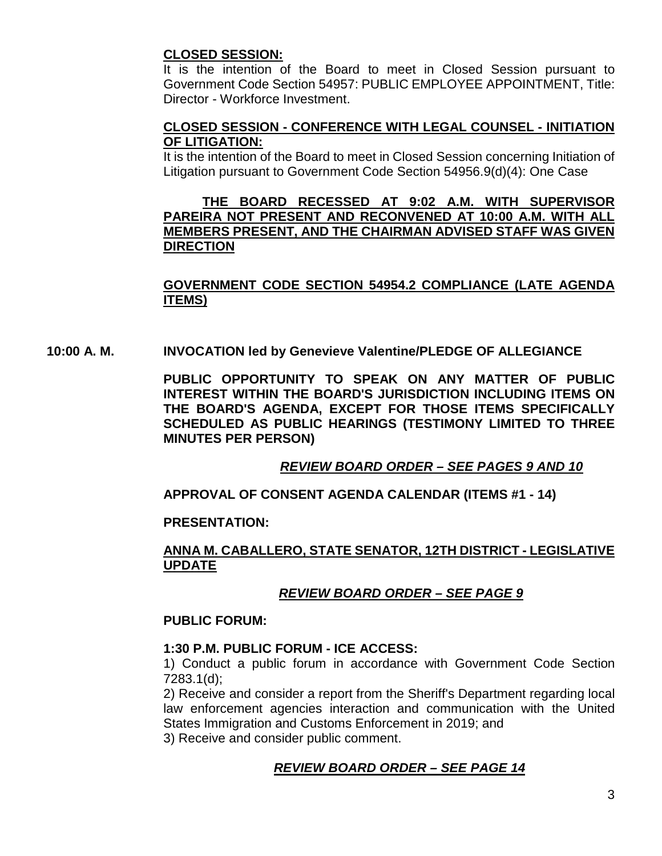#### **CLOSED SESSION:**

It is the intention of the Board to meet in Closed Session pursuant to Government Code Section 54957: PUBLIC EMPLOYEE APPOINTMENT, Title: Director - Workforce Investment.

#### **CLOSED SESSION - CONFERENCE WITH LEGAL COUNSEL - INITIATION OF LITIGATION:**

It is the intention of the Board to meet in Closed Session concerning Initiation of Litigation pursuant to Government Code Section 54956.9(d)(4): One Case

#### **THE BOARD RECESSED AT 9:02 A.M. WITH SUPERVISOR PAREIRA NOT PRESENT AND RECONVENED AT 10:00 A.M. WITH ALL MEMBERS PRESENT, AND THE CHAIRMAN ADVISED STAFF WAS GIVEN DIRECTION**

## **GOVERNMENT CODE SECTION 54954.2 COMPLIANCE (LATE AGENDA ITEMS)**

#### **10:00 A. M. INVOCATION led by Genevieve Valentine/PLEDGE OF ALLEGIANCE**

**PUBLIC OPPORTUNITY TO SPEAK ON ANY MATTER OF PUBLIC INTEREST WITHIN THE BOARD'S JURISDICTION INCLUDING ITEMS ON THE BOARD'S AGENDA, EXCEPT FOR THOSE ITEMS SPECIFICALLY SCHEDULED AS PUBLIC HEARINGS (TESTIMONY LIMITED TO THREE MINUTES PER PERSON)**

## *REVIEW BOARD ORDER – SEE PAGES 9 AND 10*

## **APPROVAL OF CONSENT AGENDA CALENDAR (ITEMS #1 - 14)**

#### **PRESENTATION:**

#### **ANNA M. CABALLERO, STATE SENATOR, 12TH DISTRICT - LEGISLATIVE UPDATE**

## *REVIEW BOARD ORDER – SEE PAGE 9*

#### **PUBLIC FORUM:**

#### **1:30 P.M. PUBLIC FORUM - ICE ACCESS:**

1) Conduct a public forum in accordance with Government Code Section 7283.1(d);

2) Receive and consider a report from the Sheriff's Department regarding local law enforcement agencies interaction and communication with the United States Immigration and Customs Enforcement in 2019; and

3) Receive and consider public comment.

#### *REVIEW BOARD ORDER – SEE PAGE 14*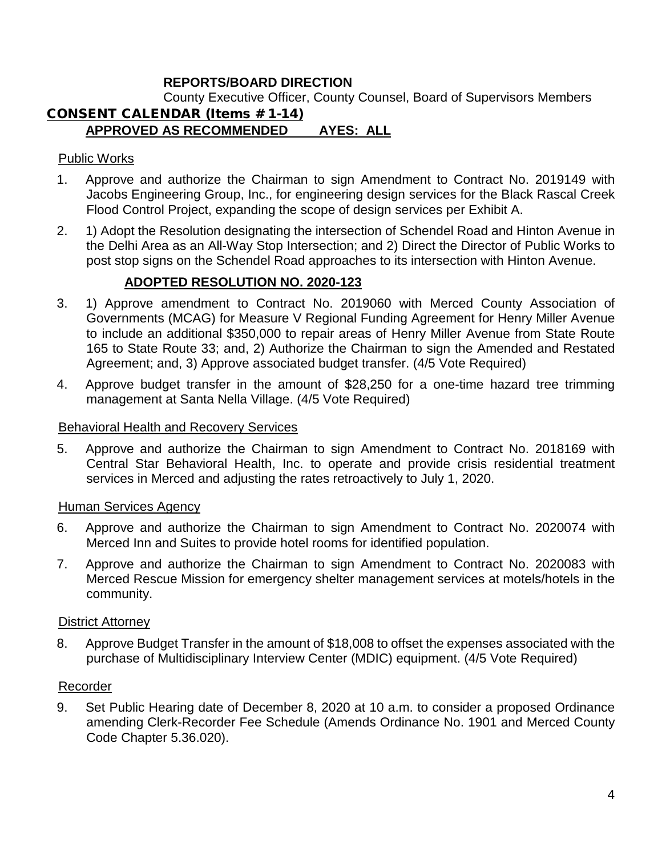## **REPORTS/BOARD DIRECTION**

County Executive Officer, County Counsel, Board of Supervisors Members

#### CONSENT CALENDAR (Items # 1-14) **APPROVED AS RECOMMENDED AYES: ALL**

#### Public Works

- 1. Approve and authorize the Chairman to sign Amendment to Contract No. 2019149 with Jacobs Engineering Group, Inc., for engineering design services for the Black Rascal Creek Flood Control Project, expanding the scope of design services per Exhibit A.
- 2. 1) Adopt the Resolution designating the intersection of Schendel Road and Hinton Avenue in the Delhi Area as an All-Way Stop Intersection; and 2) Direct the Director of Public Works to post stop signs on the Schendel Road approaches to its intersection with Hinton Avenue.

#### **ADOPTED RESOLUTION NO. 2020-123**

- 3. 1) Approve amendment to Contract No. 2019060 with Merced County Association of Governments (MCAG) for Measure V Regional Funding Agreement for Henry Miller Avenue to include an additional \$350,000 to repair areas of Henry Miller Avenue from State Route 165 to State Route 33; and, 2) Authorize the Chairman to sign the Amended and Restated Agreement; and, 3) Approve associated budget transfer. (4/5 Vote Required)
- 4. Approve budget transfer in the amount of \$28,250 for a one-time hazard tree trimming management at Santa Nella Village. (4/5 Vote Required)

#### Behavioral Health and Recovery Services

5. Approve and authorize the Chairman to sign Amendment to Contract No. 2018169 with Central Star Behavioral Health, Inc. to operate and provide crisis residential treatment services in Merced and adjusting the rates retroactively to July 1, 2020.

#### Human Services Agency

- 6. Approve and authorize the Chairman to sign Amendment to Contract No. 2020074 with Merced Inn and Suites to provide hotel rooms for identified population.
- 7. Approve and authorize the Chairman to sign Amendment to Contract No. 2020083 with Merced Rescue Mission for emergency shelter management services at motels/hotels in the community.

#### District Attorney

8. Approve Budget Transfer in the amount of \$18,008 to offset the expenses associated with the purchase of Multidisciplinary Interview Center (MDIC) equipment. (4/5 Vote Required)

#### Recorder

9. Set Public Hearing date of December 8, 2020 at 10 a.m. to consider a proposed Ordinance amending Clerk-Recorder Fee Schedule (Amends Ordinance No. 1901 and Merced County Code Chapter 5.36.020).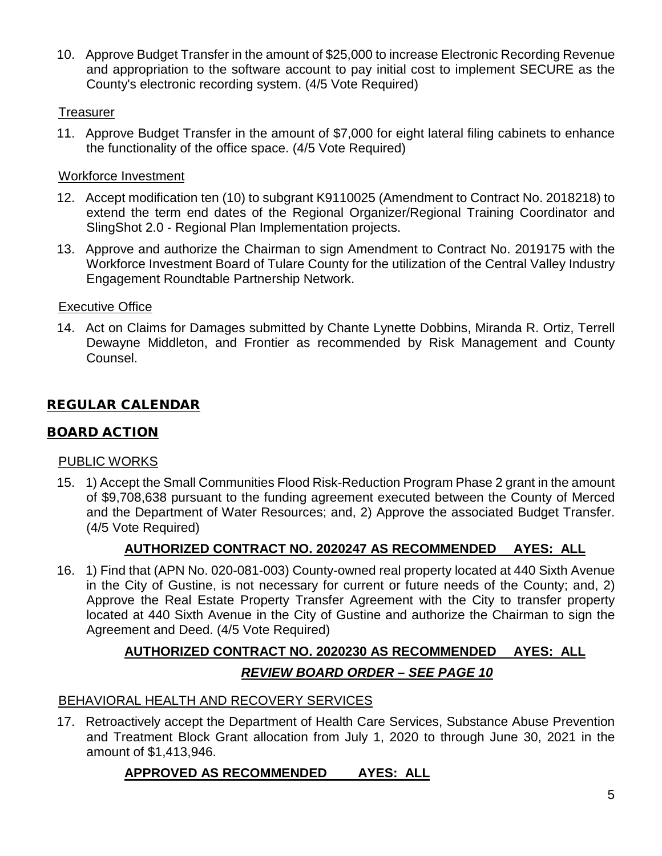10. Approve Budget Transfer in the amount of \$25,000 to increase Electronic Recording Revenue and appropriation to the software account to pay initial cost to implement SECURE as the County's electronic recording system. (4/5 Vote Required)

## **Treasurer**

11. Approve Budget Transfer in the amount of \$7,000 for eight lateral filing cabinets to enhance the functionality of the office space. (4/5 Vote Required)

## Workforce Investment

- 12. Accept modification ten (10) to subgrant K9110025 (Amendment to Contract No. 2018218) to extend the term end dates of the Regional Organizer/Regional Training Coordinator and SlingShot 2.0 - Regional Plan Implementation projects.
- 13. Approve and authorize the Chairman to sign Amendment to Contract No. 2019175 with the Workforce Investment Board of Tulare County for the utilization of the Central Valley Industry Engagement Roundtable Partnership Network.

## Executive Office

14. Act on Claims for Damages submitted by Chante Lynette Dobbins, Miranda R. Ortiz, Terrell Dewayne Middleton, and Frontier as recommended by Risk Management and County Counsel.

# REGULAR CALENDAR

# BOARD ACTION

## PUBLIC WORKS

15. 1) Accept the Small Communities Flood Risk-Reduction Program Phase 2 grant in the amount of \$9,708,638 pursuant to the funding agreement executed between the County of Merced and the Department of Water Resources; and, 2) Approve the associated Budget Transfer. (4/5 Vote Required)

# **AUTHORIZED CONTRACT NO. 2020247 AS RECOMMENDED AYES: ALL**

16. 1) Find that (APN No. 020-081-003) County-owned real property located at 440 Sixth Avenue in the City of Gustine, is not necessary for current or future needs of the County; and, 2) Approve the Real Estate Property Transfer Agreement with the City to transfer property located at 440 Sixth Avenue in the City of Gustine and authorize the Chairman to sign the Agreement and Deed. (4/5 Vote Required)

# **AUTHORIZED CONTRACT NO. 2020230 AS RECOMMENDED AYES: ALL** *REVIEW BOARD ORDER – SEE PAGE 10*

## BEHAVIORAL HEALTH AND RECOVERY SERVICES

17. Retroactively accept the Department of Health Care Services, Substance Abuse Prevention and Treatment Block Grant allocation from July 1, 2020 to through June 30, 2021 in the amount of \$1,413,946.

# **APPROVED AS RECOMMENDED AYES: ALL**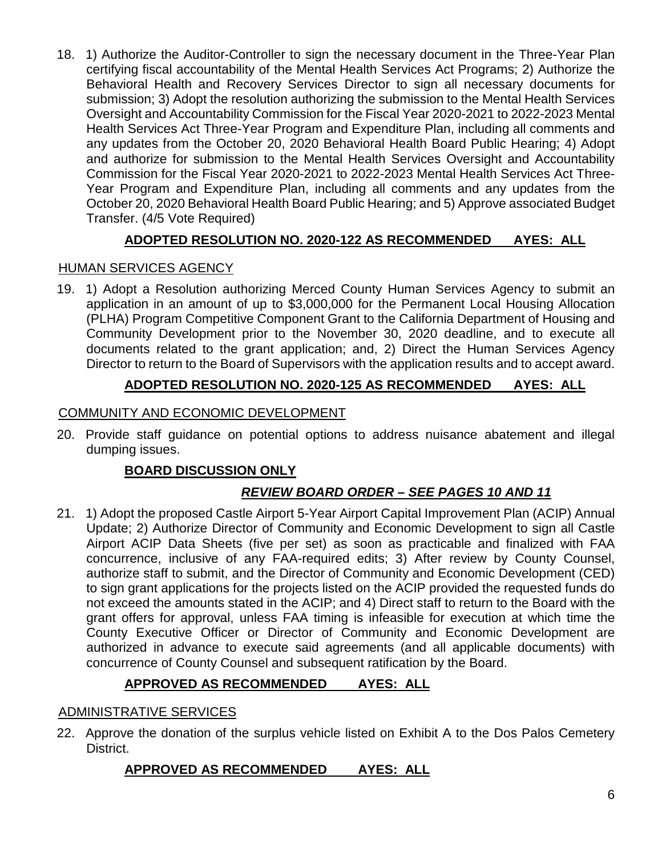18. 1) Authorize the Auditor-Controller to sign the necessary document in the Three-Year Plan certifying fiscal accountability of the Mental Health Services Act Programs; 2) Authorize the Behavioral Health and Recovery Services Director to sign all necessary documents for submission; 3) Adopt the resolution authorizing the submission to the Mental Health Services Oversight and Accountability Commission for the Fiscal Year 2020-2021 to 2022-2023 Mental Health Services Act Three-Year Program and Expenditure Plan, including all comments and any updates from the October 20, 2020 Behavioral Health Board Public Hearing; 4) Adopt and authorize for submission to the Mental Health Services Oversight and Accountability Commission for the Fiscal Year 2020-2021 to 2022-2023 Mental Health Services Act Three-Year Program and Expenditure Plan, including all comments and any updates from the October 20, 2020 Behavioral Health Board Public Hearing; and 5) Approve associated Budget Transfer. (4/5 Vote Required)

# **ADOPTED RESOLUTION NO. 2020-122 AS RECOMMENDED AYES: ALL**

## HUMAN SERVICES AGENCY

19. 1) Adopt a Resolution authorizing Merced County Human Services Agency to submit an application in an amount of up to \$3,000,000 for the Permanent Local Housing Allocation (PLHA) Program Competitive Component Grant to the California Department of Housing and Community Development prior to the November 30, 2020 deadline, and to execute all documents related to the grant application; and, 2) Direct the Human Services Agency Director to return to the Board of Supervisors with the application results and to accept award.

## **ADOPTED RESOLUTION NO. 2020-125 AS RECOMMENDED AYES: ALL**

#### COMMUNITY AND ECONOMIC DEVELOPMENT

20. Provide staff guidance on potential options to address nuisance abatement and illegal dumping issues.

## **BOARD DISCUSSION ONLY**

# *REVIEW BOARD ORDER – SEE PAGES 10 AND 11*

21. 1) Adopt the proposed Castle Airport 5-Year Airport Capital Improvement Plan (ACIP) Annual Update; 2) Authorize Director of Community and Economic Development to sign all Castle Airport ACIP Data Sheets (five per set) as soon as practicable and finalized with FAA concurrence, inclusive of any FAA-required edits; 3) After review by County Counsel, authorize staff to submit, and the Director of Community and Economic Development (CED) to sign grant applications for the projects listed on the ACIP provided the requested funds do not exceed the amounts stated in the ACIP; and 4) Direct staff to return to the Board with the grant offers for approval, unless FAA timing is infeasible for execution at which time the County Executive Officer or Director of Community and Economic Development are authorized in advance to execute said agreements (and all applicable documents) with concurrence of County Counsel and subsequent ratification by the Board.

## **APPROVED AS RECOMMENDED AYES: ALL**

#### ADMINISTRATIVE SERVICES

22. Approve the donation of the surplus vehicle listed on Exhibit A to the Dos Palos Cemetery District.

## **APPROVED AS RECOMMENDED AYES: ALL**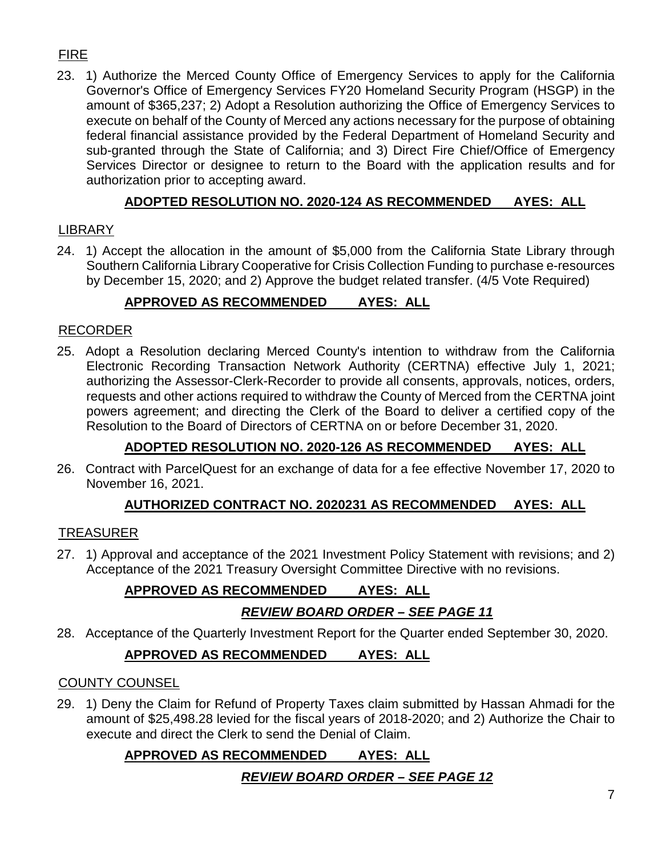# FIRE

23. 1) Authorize the Merced County Office of Emergency Services to apply for the California Governor's Office of Emergency Services FY20 Homeland Security Program (HSGP) in the amount of \$365,237; 2) Adopt a Resolution authorizing the Office of Emergency Services to execute on behalf of the County of Merced any actions necessary for the purpose of obtaining federal financial assistance provided by the Federal Department of Homeland Security and sub-granted through the State of California; and 3) Direct Fire Chief/Office of Emergency Services Director or designee to return to the Board with the application results and for authorization prior to accepting award.

# **ADOPTED RESOLUTION NO. 2020-124 AS RECOMMENDED AYES: ALL**

## LIBRARY

24. 1) Accept the allocation in the amount of \$5,000 from the California State Library through Southern California Library Cooperative for Crisis Collection Funding to purchase e-resources by December 15, 2020; and 2) Approve the budget related transfer. (4/5 Vote Required)

# **APPROVED AS RECOMMENDED AYES: ALL**

## RECORDER

25. Adopt a Resolution declaring Merced County's intention to withdraw from the California Electronic Recording Transaction Network Authority (CERTNA) effective July 1, 2021; authorizing the Assessor-Clerk-Recorder to provide all consents, approvals, notices, orders, requests and other actions required to withdraw the County of Merced from the CERTNA joint powers agreement; and directing the Clerk of the Board to deliver a certified copy of the Resolution to the Board of Directors of CERTNA on or before December 31, 2020.

# **ADOPTED RESOLUTION NO. 2020-126 AS RECOMMENDED AYES: ALL**

26. Contract with ParcelQuest for an exchange of data for a fee effective November 17, 2020 to November 16, 2021.

# **AUTHORIZED CONTRACT NO. 2020231 AS RECOMMENDED AYES: ALL**

# TREASURER

27. 1) Approval and acceptance of the 2021 Investment Policy Statement with revisions; and 2) Acceptance of the 2021 Treasury Oversight Committee Directive with no revisions.

# **APPROVED AS RECOMMENDED AYES: ALL** *REVIEW BOARD ORDER – SEE PAGE 11*

28. Acceptance of the Quarterly Investment Report for the Quarter ended September 30, 2020.

# **APPROVED AS RECOMMENDED AYES: ALL**

## COUNTY COUNSEL

29. 1) Deny the Claim for Refund of Property Taxes claim submitted by Hassan Ahmadi for the amount of \$25,498.28 levied for the fiscal years of 2018-2020; and 2) Authorize the Chair to execute and direct the Clerk to send the Denial of Claim.

# **APPROVED AS RECOMMENDED AYES: ALL**

# *REVIEW BOARD ORDER – SEE PAGE 12*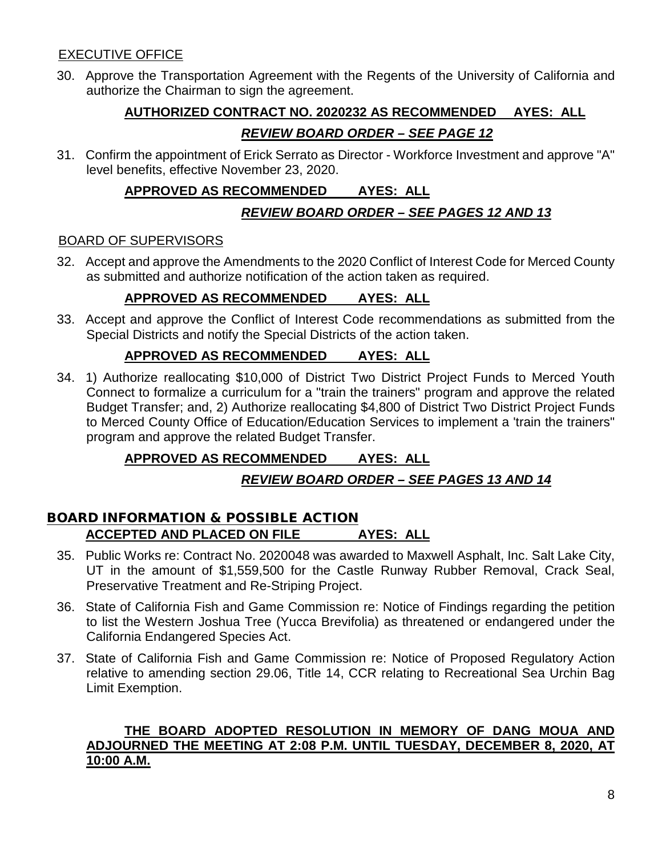#### EXECUTIVE OFFICE

30. Approve the Transportation Agreement with the Regents of the University of California and authorize the Chairman to sign the agreement.

# **AUTHORIZED CONTRACT NO. 2020232 AS RECOMMENDED AYES: ALL** *REVIEW BOARD ORDER – SEE PAGE 12*

31. Confirm the appointment of Erick Serrato as Director - Workforce Investment and approve "A" level benefits, effective November 23, 2020.

## **APPROVED AS RECOMMENDED AYES: ALL**

## *REVIEW BOARD ORDER – SEE PAGES 12 AND 13*

#### BOARD OF SUPERVISORS

32. Accept and approve the Amendments to the 2020 Conflict of Interest Code for Merced County as submitted and authorize notification of the action taken as required.

## **APPROVED AS RECOMMENDED AYES: ALL**

33. Accept and approve the Conflict of Interest Code recommendations as submitted from the Special Districts and notify the Special Districts of the action taken.

## **APPROVED AS RECOMMENDED AYES: ALL**

34. 1) Authorize reallocating \$10,000 of District Two District Project Funds to Merced Youth Connect to formalize a curriculum for a "train the trainers" program and approve the related Budget Transfer; and, 2) Authorize reallocating \$4,800 of District Two District Project Funds to Merced County Office of Education/Education Services to implement a 'train the trainers" program and approve the related Budget Transfer.

# **APPROVED AS RECOMMENDED AYES: ALL**

# *REVIEW BOARD ORDER – SEE PAGES 13 AND 14*

#### BOARD INFORMATION & POSSIBLE ACTION **ACCEPTED AND PLACED ON FILE AYES: ALL**

- 35. Public Works re: Contract No. 2020048 was awarded to Maxwell Asphalt, Inc. Salt Lake City, UT in the amount of \$1,559,500 for the Castle Runway Rubber Removal, Crack Seal, Preservative Treatment and Re-Striping Project.
- 36. State of California Fish and Game Commission re: Notice of Findings regarding the petition to list the Western Joshua Tree (Yucca Brevifolia) as threatened or endangered under the California Endangered Species Act.
- 37. State of California Fish and Game Commission re: Notice of Proposed Regulatory Action relative to amending section 29.06, Title 14, CCR relating to Recreational Sea Urchin Bag Limit Exemption.

#### **THE BOARD ADOPTED RESOLUTION IN MEMORY OF DANG MOUA AND ADJOURNED THE MEETING AT 2:08 P.M. UNTIL TUESDAY, DECEMBER 8, 2020, AT 10:00 A.M.**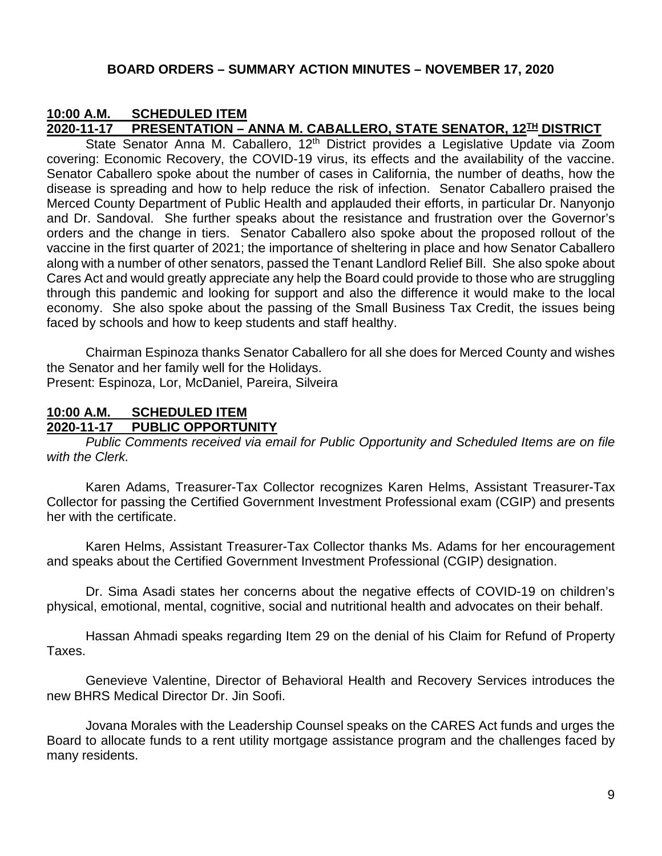#### **BOARD ORDERS – SUMMARY ACTION MINUTES – NOVEMBER 17, 2020**

# **10:00 A.M. SCHEDULED ITEM**

#### **2020-11-17 PRESENTATION – ANNA M. CABALLERO, STATE SENATOR, 12TH DISTRICT**

State Senator Anna M. Caballero, 12<sup>th</sup> District provides a Legislative Update via Zoom covering: Economic Recovery, the COVID-19 virus, its effects and the availability of the vaccine. Senator Caballero spoke about the number of cases in California, the number of deaths, how the disease is spreading and how to help reduce the risk of infection. Senator Caballero praised the Merced County Department of Public Health and applauded their efforts, in particular Dr. Nanyonjo and Dr. Sandoval. She further speaks about the resistance and frustration over the Governor's orders and the change in tiers. Senator Caballero also spoke about the proposed rollout of the vaccine in the first quarter of 2021; the importance of sheltering in place and how Senator Caballero along with a number of other senators, passed the Tenant Landlord Relief Bill. She also spoke about Cares Act and would greatly appreciate any help the Board could provide to those who are struggling through this pandemic and looking for support and also the difference it would make to the local economy. She also spoke about the passing of the Small Business Tax Credit, the issues being faced by schools and how to keep students and staff healthy.

Chairman Espinoza thanks Senator Caballero for all she does for Merced County and wishes the Senator and her family well for the Holidays. Present: Espinoza, Lor, McDaniel, Pareira, Silveira

# **10:00 A.M. SCHEDULED ITEM**

#### **2020-11-17 PUBLIC OPPORTUNITY**

*Public Comments received via email for Public Opportunity and Scheduled Items are on file with the Clerk.*

Karen Adams, Treasurer-Tax Collector recognizes Karen Helms, Assistant Treasurer-Tax Collector for passing the Certified Government Investment Professional exam (CGIP) and presents her with the certificate.

Karen Helms, Assistant Treasurer-Tax Collector thanks Ms. Adams for her encouragement and speaks about the Certified Government Investment Professional (CGIP) designation.

Dr. Sima Asadi states her concerns about the negative effects of COVID-19 on children's physical, emotional, mental, cognitive, social and nutritional health and advocates on their behalf.

Hassan Ahmadi speaks regarding Item 29 on the denial of his Claim for Refund of Property Taxes.

Genevieve Valentine, Director of Behavioral Health and Recovery Services introduces the new BHRS Medical Director Dr. Jin Soofi.

Jovana Morales with the Leadership Counsel speaks on the CARES Act funds and urges the Board to allocate funds to a rent utility mortgage assistance program and the challenges faced by many residents.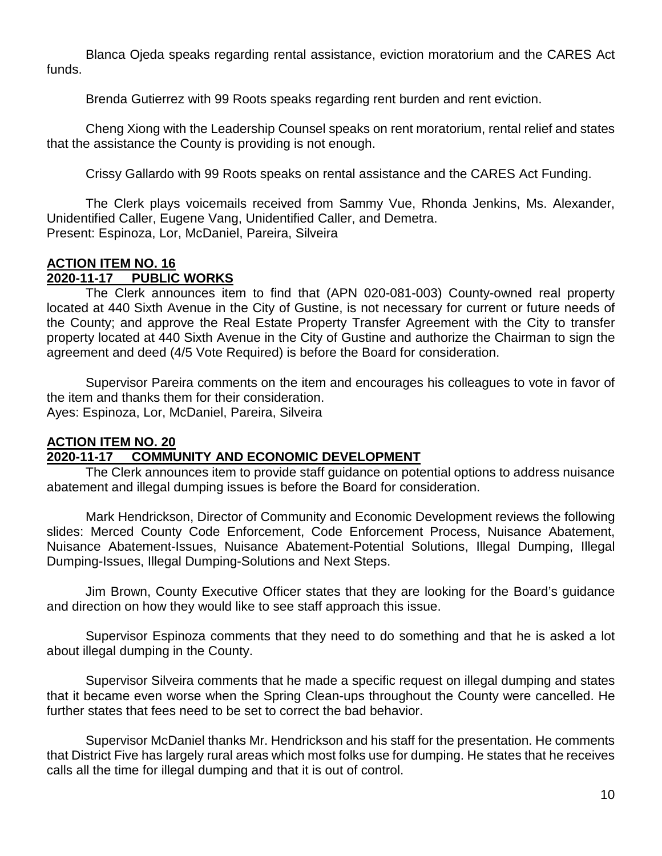Blanca Ojeda speaks regarding rental assistance, eviction moratorium and the CARES Act funds.

Brenda Gutierrez with 99 Roots speaks regarding rent burden and rent eviction.

Cheng Xiong with the Leadership Counsel speaks on rent moratorium, rental relief and states that the assistance the County is providing is not enough.

Crissy Gallardo with 99 Roots speaks on rental assistance and the CARES Act Funding.

The Clerk plays voicemails received from Sammy Vue, Rhonda Jenkins, Ms. Alexander, Unidentified Caller, Eugene Vang, Unidentified Caller, and Demetra. Present: Espinoza, Lor, McDaniel, Pareira, Silveira

#### **ACTION ITEM NO. 16 2020-11-17 PUBLIC WORKS**

The Clerk announces item to find that (APN 020-081-003) County-owned real property located at 440 Sixth Avenue in the City of Gustine, is not necessary for current or future needs of the County; and approve the Real Estate Property Transfer Agreement with the City to transfer property located at 440 Sixth Avenue in the City of Gustine and authorize the Chairman to sign the agreement and deed (4/5 Vote Required) is before the Board for consideration.

Supervisor Pareira comments on the item and encourages his colleagues to vote in favor of the item and thanks them for their consideration. Ayes: Espinoza, Lor, McDaniel, Pareira, Silveira

# **ACTION ITEM NO. 20**

## **2020-11-17 COMMUNITY AND ECONOMIC DEVELOPMENT**

The Clerk announces item to provide staff guidance on potential options to address nuisance abatement and illegal dumping issues is before the Board for consideration.

Mark Hendrickson, Director of Community and Economic Development reviews the following slides: Merced County Code Enforcement, Code Enforcement Process, Nuisance Abatement, Nuisance Abatement-Issues, Nuisance Abatement-Potential Solutions, Illegal Dumping, Illegal Dumping-Issues, Illegal Dumping-Solutions and Next Steps.

Jim Brown, County Executive Officer states that they are looking for the Board's guidance and direction on how they would like to see staff approach this issue.

Supervisor Espinoza comments that they need to do something and that he is asked a lot about illegal dumping in the County.

Supervisor Silveira comments that he made a specific request on illegal dumping and states that it became even worse when the Spring Clean-ups throughout the County were cancelled. He further states that fees need to be set to correct the bad behavior.

Supervisor McDaniel thanks Mr. Hendrickson and his staff for the presentation. He comments that District Five has largely rural areas which most folks use for dumping. He states that he receives calls all the time for illegal dumping and that it is out of control.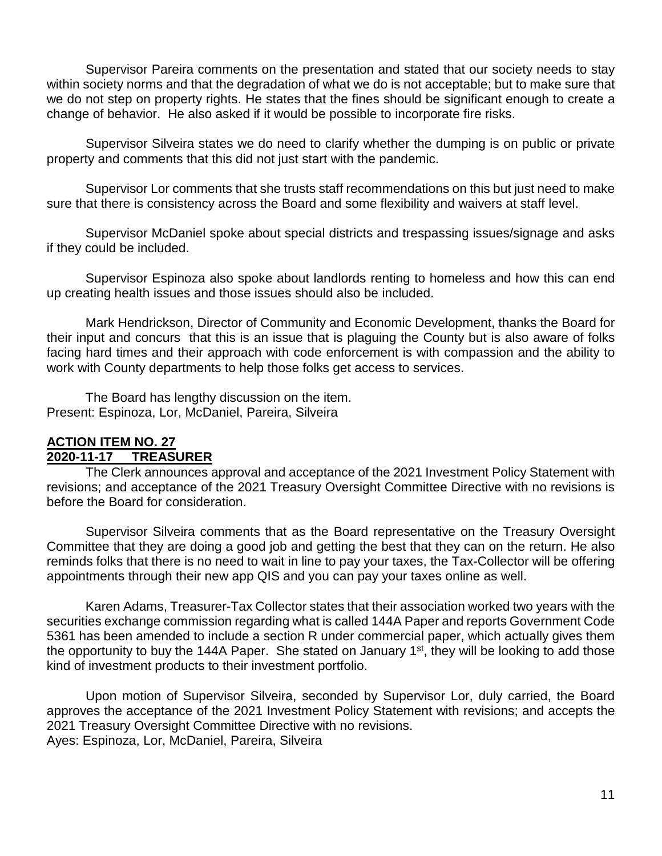Supervisor Pareira comments on the presentation and stated that our society needs to stay within society norms and that the degradation of what we do is not acceptable; but to make sure that we do not step on property rights. He states that the fines should be significant enough to create a change of behavior. He also asked if it would be possible to incorporate fire risks.

Supervisor Silveira states we do need to clarify whether the dumping is on public or private property and comments that this did not just start with the pandemic.

Supervisor Lor comments that she trusts staff recommendations on this but just need to make sure that there is consistency across the Board and some flexibility and waivers at staff level.

Supervisor McDaniel spoke about special districts and trespassing issues/signage and asks if they could be included.

Supervisor Espinoza also spoke about landlords renting to homeless and how this can end up creating health issues and those issues should also be included.

Mark Hendrickson, Director of Community and Economic Development, thanks the Board for their input and concurs that this is an issue that is plaguing the County but is also aware of folks facing hard times and their approach with code enforcement is with compassion and the ability to work with County departments to help those folks get access to services.

The Board has lengthy discussion on the item. Present: Espinoza, Lor, McDaniel, Pareira, Silveira

#### **ACTION ITEM NO. 27 2020-11-17 TREASURER**

The Clerk announces approval and acceptance of the 2021 Investment Policy Statement with revisions; and acceptance of the 2021 Treasury Oversight Committee Directive with no revisions is before the Board for consideration.

Supervisor Silveira comments that as the Board representative on the Treasury Oversight Committee that they are doing a good job and getting the best that they can on the return. He also reminds folks that there is no need to wait in line to pay your taxes, the Tax-Collector will be offering appointments through their new app QIS and you can pay your taxes online as well.

Karen Adams, Treasurer-Tax Collector states that their association worked two years with the securities exchange commission regarding what is called 144A Paper and reports Government Code 5361 has been amended to include a section R under commercial paper, which actually gives them the opportunity to buy the 144A Paper. She stated on January 1<sup>st</sup>, they will be looking to add those kind of investment products to their investment portfolio.

Upon motion of Supervisor Silveira, seconded by Supervisor Lor, duly carried, the Board approves the acceptance of the 2021 Investment Policy Statement with revisions; and accepts the 2021 Treasury Oversight Committee Directive with no revisions. Ayes: Espinoza, Lor, McDaniel, Pareira, Silveira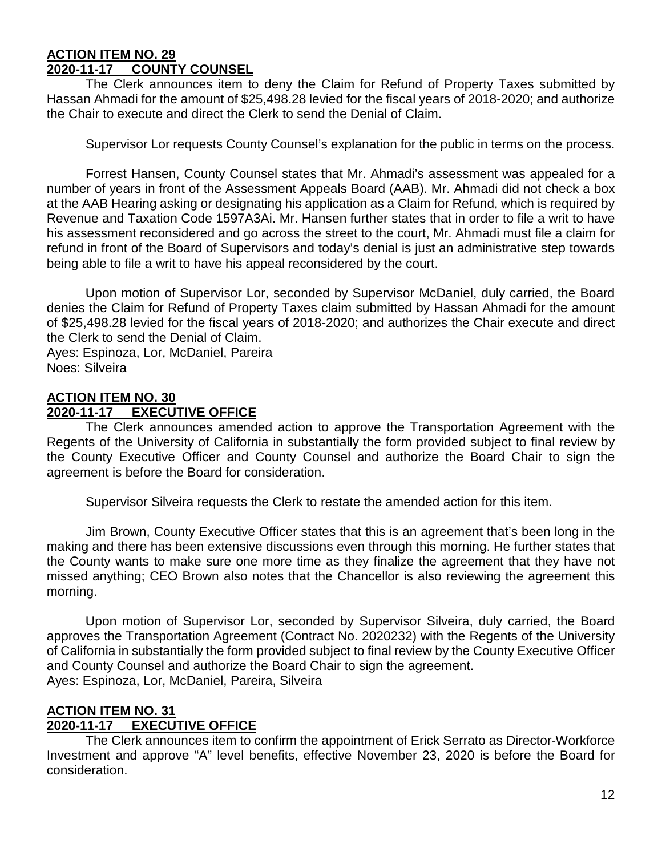#### **ACTION ITEM NO. 29 2020-11-17 COUNTY COUNSEL**

The Clerk announces item to deny the Claim for Refund of Property Taxes submitted by Hassan Ahmadi for the amount of \$25,498.28 levied for the fiscal years of 2018-2020; and authorize the Chair to execute and direct the Clerk to send the Denial of Claim.

Supervisor Lor requests County Counsel's explanation for the public in terms on the process.

Forrest Hansen, County Counsel states that Mr. Ahmadi's assessment was appealed for a number of years in front of the Assessment Appeals Board (AAB). Mr. Ahmadi did not check a box at the AAB Hearing asking or designating his application as a Claim for Refund, which is required by Revenue and Taxation Code 1597A3Ai. Mr. Hansen further states that in order to file a writ to have his assessment reconsidered and go across the street to the court, Mr. Ahmadi must file a claim for refund in front of the Board of Supervisors and today's denial is just an administrative step towards being able to file a writ to have his appeal reconsidered by the court.

Upon motion of Supervisor Lor, seconded by Supervisor McDaniel, duly carried, the Board denies the Claim for Refund of Property Taxes claim submitted by Hassan Ahmadi for the amount of \$25,498.28 levied for the fiscal years of 2018-2020; and authorizes the Chair execute and direct the Clerk to send the Denial of Claim. Ayes: Espinoza, Lor, McDaniel, Pareira Noes: Silveira

**ACTION ITEM NO. 30 2020-11-17 EXECUTIVE OFFICE**

The Clerk announces amended action to approve the Transportation Agreement with the Regents of the University of California in substantially the form provided subject to final review by the County Executive Officer and County Counsel and authorize the Board Chair to sign the agreement is before the Board for consideration.

Supervisor Silveira requests the Clerk to restate the amended action for this item.

Jim Brown, County Executive Officer states that this is an agreement that's been long in the making and there has been extensive discussions even through this morning. He further states that the County wants to make sure one more time as they finalize the agreement that they have not missed anything; CEO Brown also notes that the Chancellor is also reviewing the agreement this morning.

Upon motion of Supervisor Lor, seconded by Supervisor Silveira, duly carried, the Board approves the Transportation Agreement (Contract No. 2020232) with the Regents of the University of California in substantially the form provided subject to final review by the County Executive Officer and County Counsel and authorize the Board Chair to sign the agreement. Ayes: Espinoza, Lor, McDaniel, Pareira, Silveira

#### **ACTION ITEM NO. 31 2020-11-17 EXECUTIVE OFFICE**

The Clerk announces item to confirm the appointment of Erick Serrato as Director-Workforce Investment and approve "A" level benefits, effective November 23, 2020 is before the Board for consideration.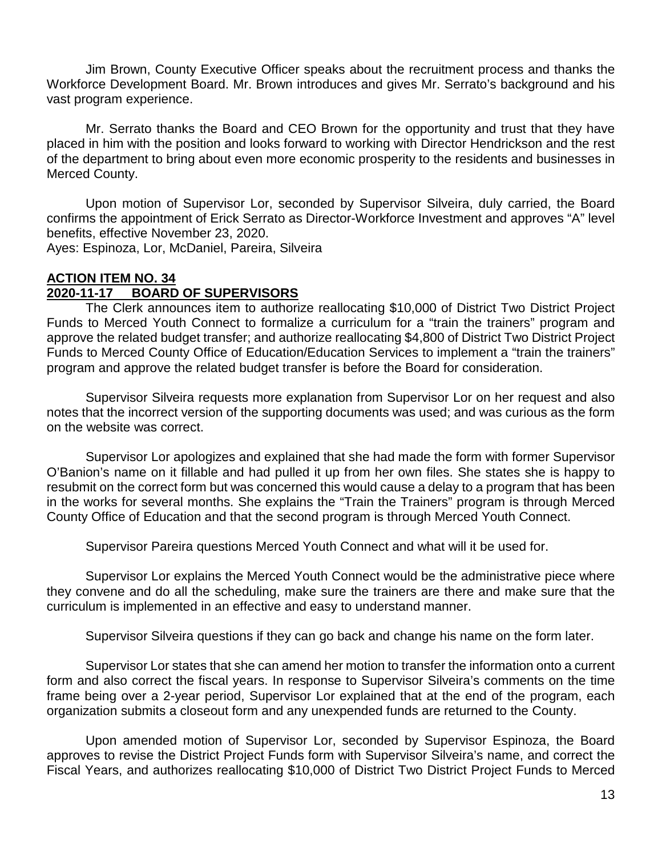Jim Brown, County Executive Officer speaks about the recruitment process and thanks the Workforce Development Board. Mr. Brown introduces and gives Mr. Serrato's background and his vast program experience.

Mr. Serrato thanks the Board and CEO Brown for the opportunity and trust that they have placed in him with the position and looks forward to working with Director Hendrickson and the rest of the department to bring about even more economic prosperity to the residents and businesses in Merced County.

Upon motion of Supervisor Lor, seconded by Supervisor Silveira, duly carried, the Board confirms the appointment of Erick Serrato as Director-Workforce Investment and approves "A" level benefits, effective November 23, 2020.

Ayes: Espinoza, Lor, McDaniel, Pareira, Silveira

#### **ACTION ITEM NO. 34 2020-11-17 BOARD OF SUPERVISORS**

The Clerk announces item to authorize reallocating \$10,000 of District Two District Project Funds to Merced Youth Connect to formalize a curriculum for a "train the trainers" program and approve the related budget transfer; and authorize reallocating \$4,800 of District Two District Project Funds to Merced County Office of Education/Education Services to implement a "train the trainers" program and approve the related budget transfer is before the Board for consideration.

Supervisor Silveira requests more explanation from Supervisor Lor on her request and also notes that the incorrect version of the supporting documents was used; and was curious as the form on the website was correct.

Supervisor Lor apologizes and explained that she had made the form with former Supervisor O'Banion's name on it fillable and had pulled it up from her own files. She states she is happy to resubmit on the correct form but was concerned this would cause a delay to a program that has been in the works for several months. She explains the "Train the Trainers" program is through Merced County Office of Education and that the second program is through Merced Youth Connect.

Supervisor Pareira questions Merced Youth Connect and what will it be used for.

Supervisor Lor explains the Merced Youth Connect would be the administrative piece where they convene and do all the scheduling, make sure the trainers are there and make sure that the curriculum is implemented in an effective and easy to understand manner.

Supervisor Silveira questions if they can go back and change his name on the form later.

Supervisor Lor states that she can amend her motion to transfer the information onto a current form and also correct the fiscal years. In response to Supervisor Silveira's comments on the time frame being over a 2-year period, Supervisor Lor explained that at the end of the program, each organization submits a closeout form and any unexpended funds are returned to the County.

Upon amended motion of Supervisor Lor, seconded by Supervisor Espinoza, the Board approves to revise the District Project Funds form with Supervisor Silveira's name, and correct the Fiscal Years, and authorizes reallocating \$10,000 of District Two District Project Funds to Merced